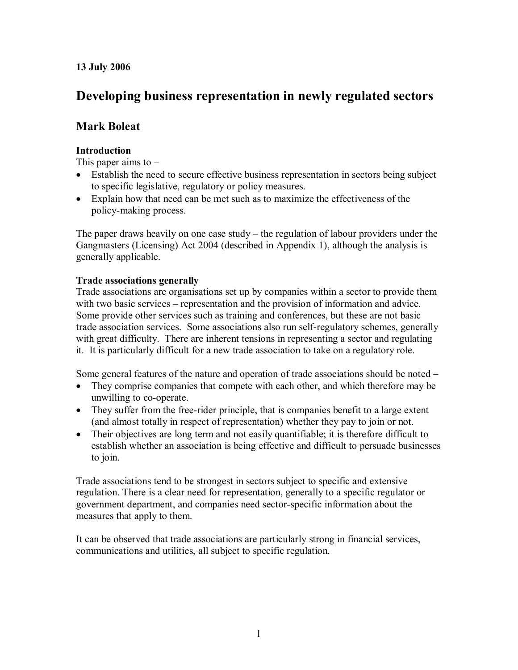## **13 July 2006**

# **Developing business representation in newly regulated sectors**

## **Mark Boleat**

## **Introduction**

This paper aims to  $-$ 

- Establish the need to secure effective business representation in sectors being subject to specific legislative, regulatory or policy measures.
- · Explain how that need can be met such as to maximize the effectiveness of the policy-making process.

The paper draws heavily on one case study – the regulation of labour providers under the Gangmasters (Licensing) Act 2004 (described in Appendix 1), although the analysis is generally applicable.

## **Trade associations generally**

Trade associations are organisations set up by companies within a sector to provide them with two basic services – representation and the provision of information and advice. Some provide other services such as training and conferences, but these are not basic trade association services. Some associations also run self-regulatory schemes, generally with great difficulty. There are inherent tensions in representing a sector and regulating it. It is particularly difficult for a new trade association to take on a regulatory role.

Some general features of the nature and operation of trade associations should be noted –

- They comprise companies that compete with each other, and which therefore may be unwilling to co-operate.
- They suffer from the free-rider principle, that is companies benefit to a large extent (and almost totally in respect of representation) whether they pay to join or not.
- Their objectives are long term and not easily quantifiable; it is therefore difficult to establish whether an association is being effective and difficult to persuade businesses to join.

Trade associations tend to be strongest in sectors subject to specific and extensive regulation. There is a clear need for representation, generally to a specific regulator or government department, and companies need sector-specific information about the measures that apply to them.

It can be observed that trade associations are particularly strong in financial services, communications and utilities, all subject to specific regulation.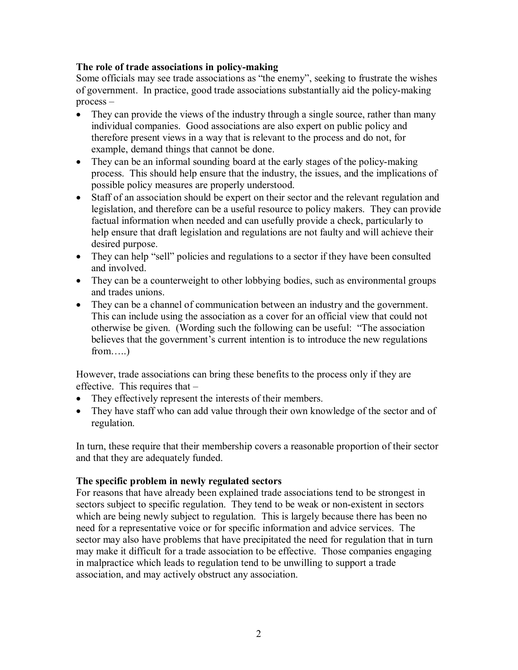## **The role of trade associations in policy-making**

Some officials may see trade associations as "the enemy", seeking to frustrate the wishes of government. In practice, good trade associations substantially aid the policy-making process –

- They can provide the views of the industry through a single source, rather than many individual companies. Good associations are also expert on public policy and therefore present views in a way that is relevant to the process and do not, for example, demand things that cannot be done.
- They can be an informal sounding board at the early stages of the policy-making process. This should help ensure that the industry, the issues, and the implications of possible policy measures are properly understood.
- · Staff of an association should be expert on their sector and the relevant regulation and legislation, and therefore can be a useful resource to policy makers. They can provide factual information when needed and can usefully provide a check, particularly to help ensure that draft legislation and regulations are not faulty and will achieve their desired purpose.
- They can help "sell" policies and regulations to a sector if they have been consulted and involved.
- They can be a counterweight to other lobbying bodies, such as environmental groups and trades unions.
- · They can be a channel of communication between an industry and the government. This can include using the association as a cover for an official view that could not otherwise be given. (Wording such the following can be useful: "The association believes that the government's current intention is to introduce the new regulations  $from \dots$ )

However, trade associations can bring these benefits to the process only if they are effective. This requires that –

- They effectively represent the interests of their members.
- They have staff who can add value through their own knowledge of the sector and of regulation.

In turn, these require that their membership covers a reasonable proportion of their sector and that they are adequately funded.

## **The specific problem in newly regulated sectors**

For reasons that have already been explained trade associations tend to be strongest in sectors subject to specific regulation. They tend to be weak or non-existent in sectors which are being newly subject to regulation. This is largely because there has been no need for a representative voice or for specific information and advice services. The sector may also have problems that have precipitated the need for regulation that in turn may make it difficult for a trade association to be effective. Those companies engaging in malpractice which leads to regulation tend to be unwilling to support a trade association, and may actively obstruct any association.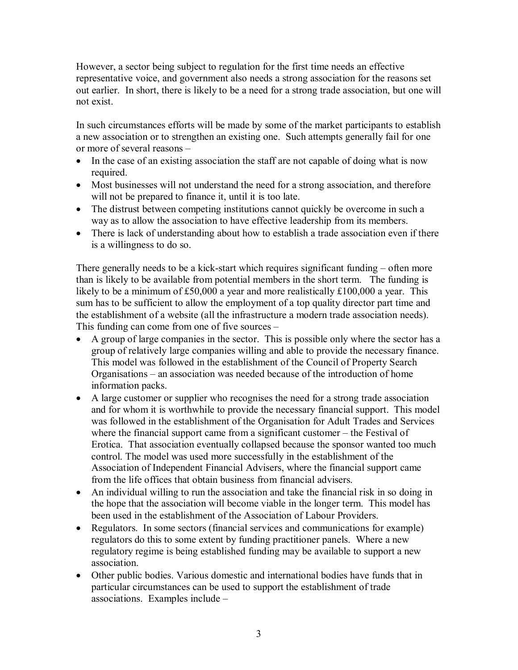However, a sector being subject to regulation for the first time needs an effective representative voice, and government also needs a strong association for the reasons set out earlier. In short, there is likely to be a need for a strong trade association, but one will not exist.

In such circumstances efforts will be made by some of the market participants to establish a new association or to strengthen an existing one. Such attempts generally fail for one or more of several reasons –

- In the case of an existing association the staff are not capable of doing what is now required.
- · Most businesses will not understand the need for a strong association, and therefore will not be prepared to finance it, until it is too late.
- The distrust between competing institutions cannot quickly be overcome in such a way as to allow the association to have effective leadership from its members.
- There is lack of understanding about how to establish a trade association even if there is a willingness to do so.

There generally needs to be a kick-start which requires significant funding – often more than is likely to be available from potential members in the short term. The funding is likely to be a minimum of £50,000 a year and more realistically £100,000 a year. This sum has to be sufficient to allow the employment of a top quality director part time and the establishment of a website (all the infrastructure a modern trade association needs). This funding can come from one of five sources –

- · A group of large companies in the sector. This is possible only where the sector has a group of relatively large companies willing and able to provide the necessary finance. This model was followed in the establishment of the Council of Property Search Organisations – an association was needed because of the introduction of home information packs.
- A large customer or supplier who recognises the need for a strong trade association and for whom it is worthwhile to provide the necessary financial support. This model was followed in the establishment of the Organisation for Adult Trades and Services where the financial support came from a significant customer – the Festival of Erotica. That association eventually collapsed because the sponsor wanted too much control. The model was used more successfully in the establishment of the Association of Independent Financial Advisers, where the financial support came from the life offices that obtain business from financial advisers.
- An individual willing to run the association and take the financial risk in so doing in the hope that the association will become viable in the longer term. This model has been used in the establishment of the Association of Labour Providers.
- Regulators. In some sectors (financial services and communications for example) regulators do this to some extent by funding practitioner panels. Where a new regulatory regime is being established funding may be available to support a new association.
- · Other public bodies. Various domestic and international bodies have funds that in particular circumstances can be used to support the establishment of trade associations. Examples include –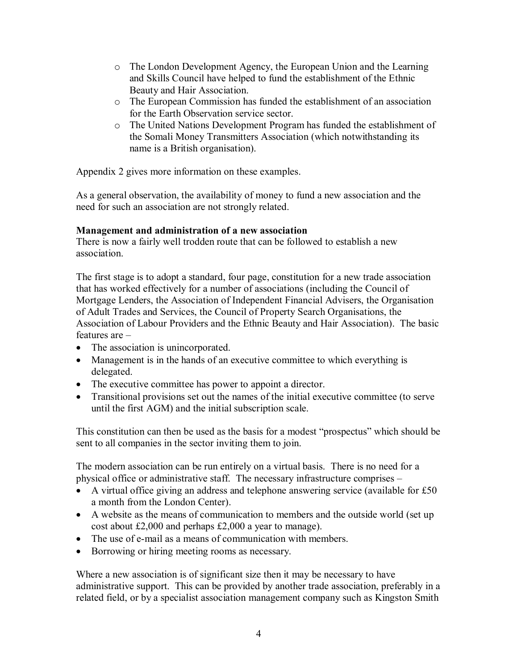- o The London Development Agency, the European Union and the Learning and Skills Council have helped to fund the establishment of the Ethnic Beauty and Hair Association.
- o The European Commission has funded the establishment of an association for the Earth Observation service sector.
- o The United Nations Development Program has funded the establishment of the Somali Money Transmitters Association (which notwithstanding its name is a British organisation).

Appendix 2 gives more information on these examples.

As a general observation, the availability of money to fund a new association and the need for such an association are not strongly related.

## **Management and administration of a new association**

There is now a fairly well trodden route that can be followed to establish a new association.

The first stage is to adopt a standard, four page, constitution for a new trade association that has worked effectively for a number of associations (including the Council of Mortgage Lenders, the Association of Independent Financial Advisers, the Organisation of Adult Trades and Services, the Council of Property Search Organisations, the Association of Labour Providers and the Ethnic Beauty and Hair Association). The basic features are –

- The association is unincorporated.
- · Management is in the hands of an executive committee to which everything is delegated.
- · The executive committee has power to appoint a director.
- · Transitional provisions set out the names of the initial executive committee (to serve until the first AGM) and the initial subscription scale.

This constitution can then be used as the basis for a modest "prospectus" which should be sent to all companies in the sector inviting them to join.

The modern association can be run entirely on a virtual basis. There is no need for a physical office or administrative staff. The necessary infrastructure comprises –

- A virtual office giving an address and telephone answering service (available for £50 a month from the London Center).
- · A website as the means of communication to members and the outside world (set up cost about £2,000 and perhaps £2,000 a year to manage).
- · The use of e-mail as a means of communication with members.
- Borrowing or hiring meeting rooms as necessary.

Where a new association is of significant size then it may be necessary to have administrative support. This can be provided by another trade association, preferably in a related field, or by a specialist association management company such as Kingston Smith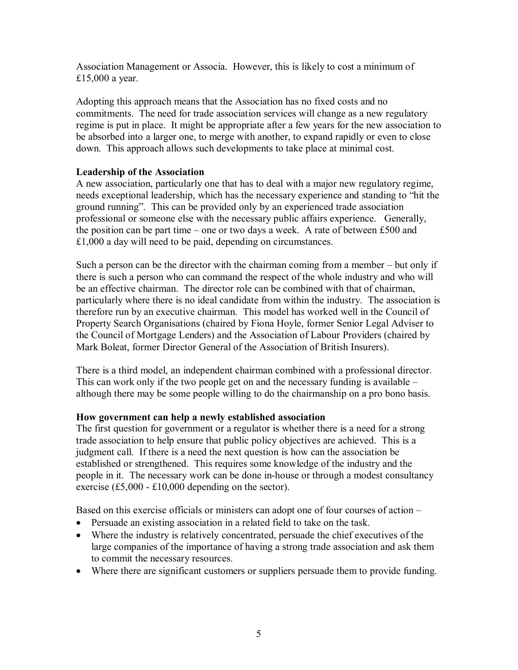Association Management or Associa. However, this is likely to cost a minimum of £15,000 a year.

Adopting this approach means that the Association has no fixed costs and no commitments. The need for trade association services will change as a new regulatory regime is put in place. It might be appropriate after a few years for the new association to be absorbed into a larger one, to merge with another, to expand rapidly or even to close down. This approach allows such developments to take place at minimal cost.

## **Leadership of the Association**

A new association, particularly one that has to deal with a major new regulatory regime, needs exceptional leadership, which has the necessary experience and standing to "hit the ground running". This can be provided only by an experienced trade association professional or someone else with the necessary public affairs experience. Generally, the position can be part time – one or two days a week. A rate of between £500 and £1,000 a day will need to be paid, depending on circumstances.

Such a person can be the director with the chairman coming from a member – but only if there is such a person who can command the respect of the whole industry and who will be an effective chairman. The director role can be combined with that of chairman, particularly where there is no ideal candidate from within the industry. The association is therefore run by an executive chairman. This model has worked well in the Council of Property Search Organisations (chaired by Fiona Hoyle, former Senior Legal Adviser to the Council of Mortgage Lenders) and the Association of Labour Providers (chaired by Mark Boleat, former Director General of the Association of British Insurers).

There is a third model, an independent chairman combined with a professional director. This can work only if the two people get on and the necessary funding is available – although there may be some people willing to do the chairmanship on a pro bono basis.

### **How government can help a newly established association**

The first question for government or a regulator is whether there is a need for a strong trade association to help ensure that public policy objectives are achieved. This is a judgment call. If there is a need the next question is how can the association be established or strengthened. This requires some knowledge of the industry and the people in it. The necessary work can be done in-house or through a modest consultancy exercise  $(\text{\pounds}5,000 - \text{\pounds}10,000)$  depending on the sector).

Based on this exercise officials or ministers can adopt one of four courses of action –

- · Persuade an existing association in a related field to take on the task.
- · Where the industry is relatively concentrated, persuade the chief executives of the large companies of the importance of having a strong trade association and ask them to commit the necessary resources.
- Where there are significant customers or suppliers persuade them to provide funding.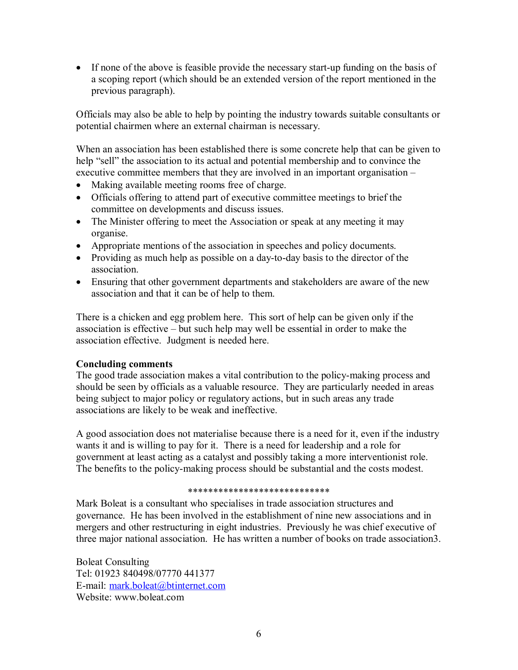• If none of the above is feasible provide the necessary start-up funding on the basis of a scoping report (which should be an extended version of the report mentioned in the previous paragraph).

Officials may also be able to help by pointing the industry towards suitable consultants or potential chairmen where an external chairman is necessary.

When an association has been established there is some concrete help that can be given to help "sell" the association to its actual and potential membership and to convince the executive committee members that they are involved in an important organisation –

- · Making available meeting rooms free of charge.
- · Officials offering to attend part of executive committee meetings to brief the committee on developments and discuss issues.
- The Minister offering to meet the Association or speak at any meeting it may organise.
- · Appropriate mentions of the association in speeches and policy documents.
- · Providing as much help as possible on a day-to-day basis to the director of the association.
- Ensuring that other government departments and stakeholders are aware of the new association and that it can be of help to them.

There is a chicken and egg problem here. This sort of help can be given only if the association is effective – but such help may well be essential in order to make the association effective. Judgment is needed here.

### **Concluding comments**

The good trade association makes a vital contribution to the policy-making process and should be seen by officials as a valuable resource. They are particularly needed in areas being subject to major policy or regulatory actions, but in such areas any trade associations are likely to be weak and ineffective.

A good association does not materialise because there is a need for it, even if the industry wants it and is willing to pay for it. There is a need for leadership and a role for government at least acting as a catalyst and possibly taking a more interventionist role. The benefits to the policy-making process should be substantial and the costs modest.

#### \*\*\*\*\*\*\*\*\*\*\*\*\*\*\*\*\*\*\*\*\*\*\*\*\*\*\*\*

Mark Boleat is a consultant who specialises in trade association structures and governance. He has been involved in the establishment of nine new associations and in mergers and other restructuring in eight industries. Previously he was chief executive of three major national association. He has written a number of books on trade association3.

Boleat Consulting Tel: 01923 840498/07770 441377 E-mail: [mark.boleat@btinternet.com](mailto:mark.boleat@btinternet.com) Website: www.boleat.com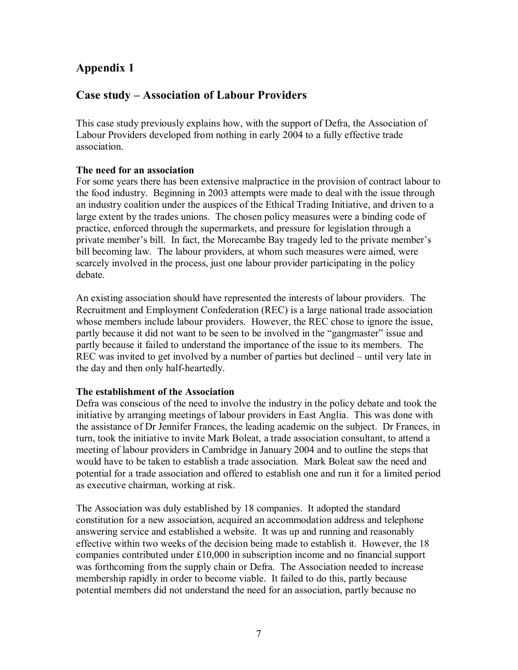## **Appendix 1**

## **Case study – Association of Labour Providers**

This case study previously explains how, with the support of Defra, the Association of Labour Providers developed from nothing in early 2004 to a fully effective trade association.

## **The need for an association**

For some years there has been extensive malpractice in the provision of contract labour to the food industry. Beginning in 2003 attempts were made to deal with the issue through an industry coalition under the auspices of the Ethical Trading Initiative, and driven to a large extent by the trades unions. The chosen policy measures were a binding code of practice, enforced through the supermarkets, and pressure for legislation through a private member's bill. In fact, the Morecambe Bay tragedy led to the private member's bill becoming law. The labour providers, at whom such measures were aimed, were scarcely involved in the process, just one labour provider participating in the policy debate.

An existing association should have represented the interests of labour providers. The Recruitment and Employment Confederation (REC) is a large national trade association whose members include labour providers. However, the REC chose to ignore the issue, partly because it did not want to be seen to be involved in the "gangmaster" issue and partly because it failed to understand the importance of the issue to its members. The REC was invited to get involved by a number of parties but declined – until very late in the day and then only half-heartedly.

### **The establishment of the Association**

Defra was conscious of the need to involve the industry in the policy debate and took the initiative by arranging meetings of labour providers in East Anglia. This was done with the assistance of Dr Jennifer Frances, the leading academic on the subject. Dr Frances, in turn, took the initiative to invite Mark Boleat, a trade association consultant, to attend a meeting of labour providers in Cambridge in January 2004 and to outline the steps that would have to be taken to establish a trade association. Mark Boleat saw the need and potential for a trade association and offered to establish one and run it for a limited period as executive chairman, working at risk.

The Association was duly established by 18 companies. It adopted the standard constitution for a new association, acquired an accommodation address and telephone answering service and established a website. It was up and running and reasonably effective within two weeks of the decision being made to establish it. However, the 18 companies contributed under £10,000 in subscription income and no financial support was forthcoming from the supply chain or Defra. The Association needed to increase membership rapidly in order to become viable. It failed to do this, partly because potential members did not understand the need for an association, partly because no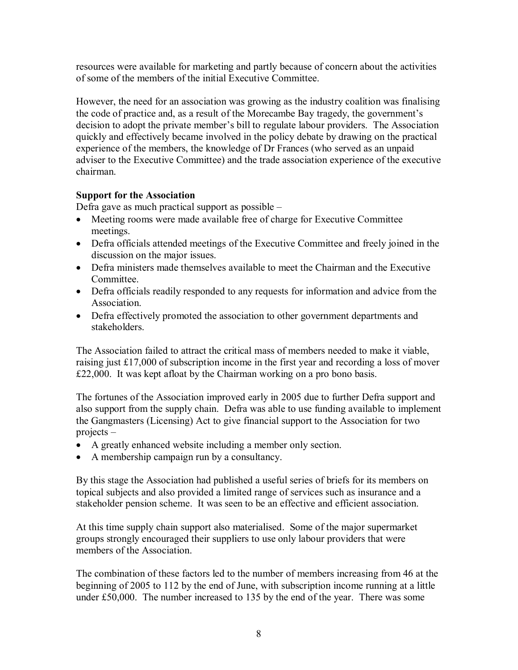resources were available for marketing and partly because of concern about the activities of some of the members of the initial Executive Committee.

However, the need for an association was growing as the industry coalition was finalising the code of practice and, as a result of the Morecambe Bay tragedy, the government's decision to adopt the private member's bill to regulate labour providers. The Association quickly and effectively became involved in the policy debate by drawing on the practical experience of the members, the knowledge of Dr Frances (who served as an unpaid adviser to the Executive Committee) and the trade association experience of the executive chairman.

## **Support for the Association**

Defra gave as much practical support as possible –

- · Meeting rooms were made available free of charge for Executive Committee meetings.
- Defra officials attended meetings of the Executive Committee and freely joined in the discussion on the major issues.
- · Defra ministers made themselves available to meet the Chairman and the Executive **Committee**
- Defra officials readily responded to any requests for information and advice from the Association.
- Defra effectively promoted the association to other government departments and stakeholders.

The Association failed to attract the critical mass of members needed to make it viable, raising just £17,000 of subscription income in the first year and recording a loss of mover £22,000. It was kept afloat by the Chairman working on a pro bono basis.

The fortunes of the Association improved early in 2005 due to further Defra support and also support from the supply chain. Defra was able to use funding available to implement the Gangmasters (Licensing) Act to give financial support to the Association for two projects –

- · A greatly enhanced website including a member only section.
- · A membership campaign run by a consultancy.

By this stage the Association had published a useful series of briefs for its members on topical subjects and also provided a limited range of services such as insurance and a stakeholder pension scheme. It was seen to be an effective and efficient association.

At this time supply chain support also materialised. Some of the major supermarket groups strongly encouraged their suppliers to use only labour providers that were members of the Association.

The combination of these factors led to the number of members increasing from 46 at the beginning of 2005 to 112 by the end of June, with subscription income running at a little under £50,000. The number increased to 135 by the end of the year. There was some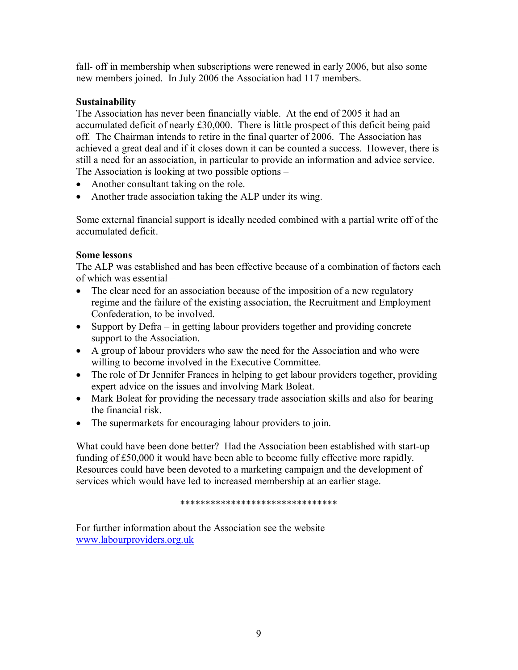fall- off in membership when subscriptions were renewed in early 2006, but also some new members joined. In July 2006 the Association had 117 members.

## **Sustainability**

The Association has never been financially viable. At the end of 2005 it had an accumulated deficit of nearly £30,000. There is little prospect of this deficit being paid off. The Chairman intends to retire in the final quarter of 2006. The Association has achieved a great deal and if it closes down it can be counted a success. However, there is still a need for an association, in particular to provide an information and advice service. The Association is looking at two possible options –

- Another consultant taking on the role.
- Another trade association taking the ALP under its wing.

Some external financial support is ideally needed combined with a partial write off of the accumulated deficit.

## **Some lessons**

The ALP was established and has been effective because of a combination of factors each of which was essential –

- The clear need for an association because of the imposition of a new regulatory regime and the failure of the existing association, the Recruitment and Employment Confederation, to be involved.
- Support by Defra in getting labour providers together and providing concrete support to the Association.
- · A group of labour providers who saw the need for the Association and who were willing to become involved in the Executive Committee.
- The role of Dr Jennifer Frances in helping to get labour providers together, providing expert advice on the issues and involving Mark Boleat.
- Mark Boleat for providing the necessary trade association skills and also for bearing the financial risk.
- · The supermarkets for encouraging labour providers to join.

What could have been done better? Had the Association been established with start-up funding of £50,000 it would have been able to become fully effective more rapidly. Resources could have been devoted to a marketing campaign and the development of services which would have led to increased membership at an earlier stage.

\*\*\*\*\*\*\*\*\*\*\*\*\*\*\*\*\*\*\*\*\*\*\*\*\*\*\*\*\*\*\*

For further information about the Association see the website [www.labourproviders.org.uk](http://www.labourproviders.org.uk/)